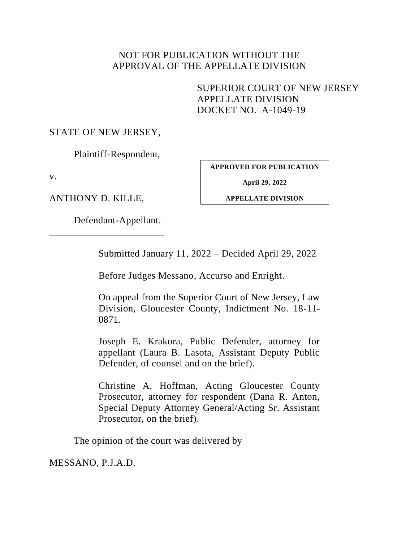# NOT FOR PUBLICATION WITHOUT THE APPROVAL OF THE APPELLATE DIVISION

SUPERIOR COURT OF NEW JERSEY APPELLATE DIVISION DOCKET NO. A-1049-19

#### STATE OF NEW JERSEY,

Plaintiff-Respondent,

v.

ANTHONY D. KILLE,

Defendant-Appellant.

\_\_\_\_\_\_\_\_\_\_\_\_\_\_\_\_\_\_\_\_\_\_\_

Submitted January 11, 2022 – Decided April 29, 2022

Before Judges Messano, Accurso and Enright.

On appeal from the Superior Court of New Jersey, Law Division, Gloucester County, Indictment No. 18-11- 0871.

Joseph E. Krakora, Public Defender, attorney for appellant (Laura B. Lasota, Assistant Deputy Public Defender, of counsel and on the brief).

Christine A. Hoffman, Acting Gloucester County Prosecutor, attorney for respondent (Dana R. Anton, Special Deputy Attorney General/Acting Sr. Assistant Prosecutor, on the brief).

The opinion of the court was delivered by

MESSANO, P.J.A.D.

**APPROVED FOR PUBLICATION April 29, 2022**

**APPELLATE DIVISION**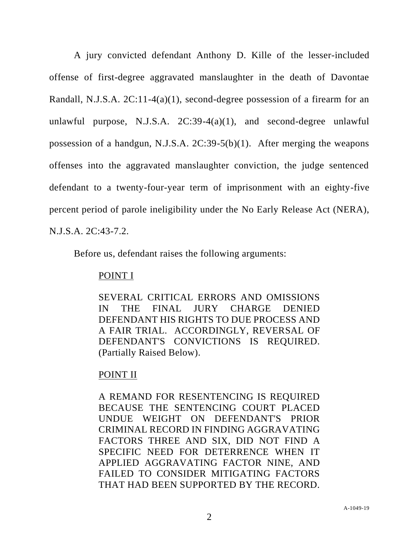A jury convicted defendant Anthony D. Kille of the lesser-included offense of first-degree aggravated manslaughter in the death of Davontae Randall, N.J.S.A. 2C:11-4(a)(1), second-degree possession of a firearm for an unlawful purpose, N.J.S.A.  $2C:39-4(a)(1)$ , and second-degree unlawful possession of a handgun, N.J.S.A. 2C:39-5(b)(1). After merging the weapons offenses into the aggravated manslaughter conviction, the judge sentenced defendant to a twenty-four-year term of imprisonment with an eighty-five percent period of parole ineligibility under the No Early Release Act (NERA), N.J.S.A. 2C:43-7.2.

Before us, defendant raises the following arguments:

### POINT I

SEVERAL CRITICAL ERRORS AND OMISSIONS IN THE FINAL JURY CHARGE DENIED DEFENDANT HIS RIGHTS TO DUE PROCESS AND A FAIR TRIAL. ACCORDINGLY, REVERSAL OF DEFENDANT'S CONVICTIONS IS REQUIRED. (Partially Raised Below).

# POINT II

A REMAND FOR RESENTENCING IS REQUIRED BECAUSE THE SENTENCING COURT PLACED UNDUE WEIGHT ON DEFENDANT'S PRIOR CRIMINAL RECORD IN FINDING AGGRAVATING FACTORS THREE AND SIX, DID NOT FIND A SPECIFIC NEED FOR DETERRENCE WHEN IT APPLIED AGGRAVATING FACTOR NINE, AND FAILED TO CONSIDER MITIGATING FACTORS THAT HAD BEEN SUPPORTED BY THE RECORD.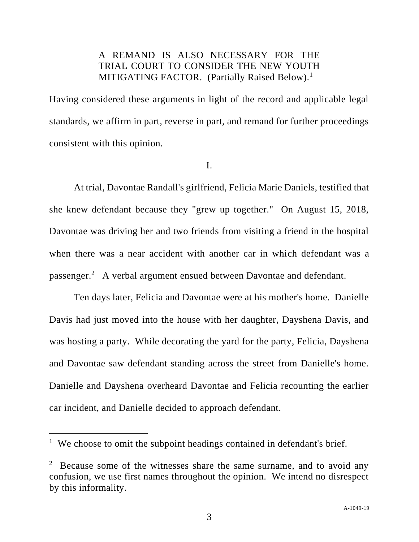# A REMAND IS ALSO NECESSARY FOR THE TRIAL COURT TO CONSIDER THE NEW YOUTH MITIGATING FACTOR. (Partially Raised Below).<sup>1</sup>

Having considered these arguments in light of the record and applicable legal standards, we affirm in part, reverse in part, and remand for further proceedings consistent with this opinion.

I.

At trial, Davontae Randall's girlfriend, Felicia Marie Daniels, testified that she knew defendant because they "grew up together." On August 15, 2018, Davontae was driving her and two friends from visiting a friend in the hospital when there was a near accident with another car in which defendant was a passenger.<sup>2</sup> A verbal argument ensued between Davontae and defendant.

Ten days later, Felicia and Davontae were at his mother's home. Danielle Davis had just moved into the house with her daughter, Dayshena Davis, and was hosting a party. While decorating the yard for the party, Felicia, Dayshena and Davontae saw defendant standing across the street from Danielle's home. Danielle and Dayshena overheard Davontae and Felicia recounting the earlier car incident, and Danielle decided to approach defendant.

<sup>&</sup>lt;sup>1</sup> We choose to omit the subpoint headings contained in defendant's brief.

<sup>&</sup>lt;sup>2</sup> Because some of the witnesses share the same surname, and to avoid any confusion, we use first names throughout the opinion. We intend no disrespect by this informality.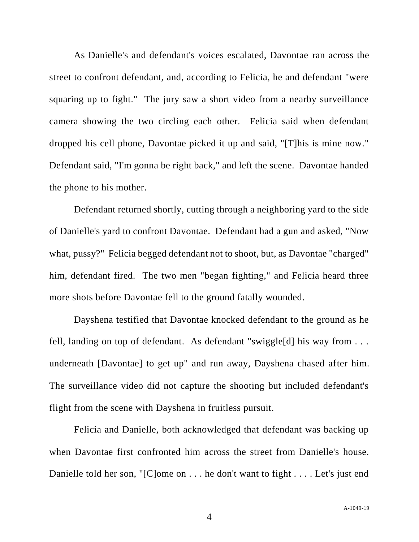As Danielle's and defendant's voices escalated, Davontae ran across the street to confront defendant, and, according to Felicia, he and defendant "were squaring up to fight." The jury saw a short video from a nearby surveillance camera showing the two circling each other. Felicia said when defendant dropped his cell phone, Davontae picked it up and said, "[T]his is mine now." Defendant said, "I'm gonna be right back," and left the scene. Davontae handed the phone to his mother.

Defendant returned shortly, cutting through a neighboring yard to the side of Danielle's yard to confront Davontae. Defendant had a gun and asked, "Now what, pussy?" Felicia begged defendant not to shoot, but, as Davontae "charged" him, defendant fired. The two men "began fighting," and Felicia heard three more shots before Davontae fell to the ground fatally wounded.

Dayshena testified that Davontae knocked defendant to the ground as he fell, landing on top of defendant. As defendant "swiggle[d] his way from . . . underneath [Davontae] to get up" and run away, Dayshena chased after him. The surveillance video did not capture the shooting but included defendant's flight from the scene with Dayshena in fruitless pursuit.

Felicia and Danielle, both acknowledged that defendant was backing up when Davontae first confronted him across the street from Danielle's house. Danielle told her son, "[C]ome on . . . he don't want to fight . . . . Let's just end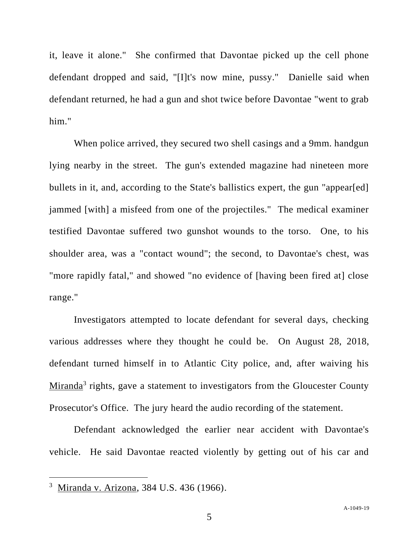it, leave it alone." She confirmed that Davontae picked up the cell phone defendant dropped and said, "[I]t's now mine, pussy." Danielle said when defendant returned, he had a gun and shot twice before Davontae "went to grab him."

When police arrived, they secured two shell casings and a 9mm. handgun lying nearby in the street. The gun's extended magazine had nineteen more bullets in it, and, according to the State's ballistics expert, the gun "appear[ed] jammed [with] a misfeed from one of the projectiles." The medical examiner testified Davontae suffered two gunshot wounds to the torso. One, to his shoulder area, was a "contact wound"; the second, to Davontae's chest, was "more rapidly fatal," and showed "no evidence of [having been fired at] close range."

Investigators attempted to locate defendant for several days, checking various addresses where they thought he could be. On August 28, 2018, defendant turned himself in to Atlantic City police, and, after waiving his Miranda<sup>3</sup> rights, gave a statement to investigators from the Gloucester County Prosecutor's Office. The jury heard the audio recording of the statement.

Defendant acknowledged the earlier near accident with Davontae's vehicle. He said Davontae reacted violently by getting out of his car and

<sup>&</sup>lt;sup>3</sup> Miranda v. Arizona, 384 U.S. 436 (1966).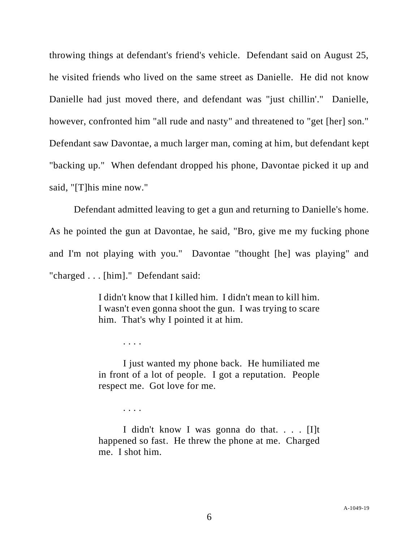throwing things at defendant's friend's vehicle. Defendant said on August 25, he visited friends who lived on the same street as Danielle. He did not know Danielle had just moved there, and defendant was "just chillin'." Danielle, however, confronted him "all rude and nasty" and threatened to "get [her] son." Defendant saw Davontae, a much larger man, coming at him, but defendant kept "backing up." When defendant dropped his phone, Davontae picked it up and said, "[T]his mine now."

Defendant admitted leaving to get a gun and returning to Danielle's home. As he pointed the gun at Davontae, he said, "Bro, give me my fucking phone and I'm not playing with you." Davontae "thought [he] was playing" and "charged . . . [him]." Defendant said:

> I didn't know that I killed him. I didn't mean to kill him. I wasn't even gonna shoot the gun. I was trying to scare him. That's why I pointed it at him.

> > . . . .

I just wanted my phone back. He humiliated me in front of a lot of people. I got a reputation. People respect me. Got love for me.

. . . .

I didn't know I was gonna do that. . . . [I]t happened so fast. He threw the phone at me. Charged me. I shot him.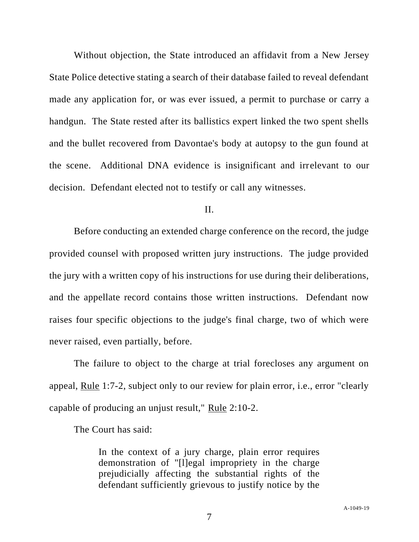Without objection, the State introduced an affidavit from a New Jersey State Police detective stating a search of their database failed to reveal defendant made any application for, or was ever issued, a permit to purchase or carry a handgun. The State rested after its ballistics expert linked the two spent shells and the bullet recovered from Davontae's body at autopsy to the gun found at the scene. Additional DNA evidence is insignificant and irrelevant to our decision. Defendant elected not to testify or call any witnesses.

II.

Before conducting an extended charge conference on the record, the judge provided counsel with proposed written jury instructions. The judge provided the jury with a written copy of his instructions for use during their deliberations, and the appellate record contains those written instructions. Defendant now raises four specific objections to the judge's final charge, two of which were never raised, even partially, before.

The failure to object to the charge at trial forecloses any argument on appeal, Rule 1:7-2, subject only to our review for plain error, i.e., error "clearly capable of producing an unjust result," Rule 2:10-2.

The Court has said:

In the context of a jury charge, plain error requires demonstration of "[l]egal impropriety in the charge prejudicially affecting the substantial rights of the defendant sufficiently grievous to justify notice by the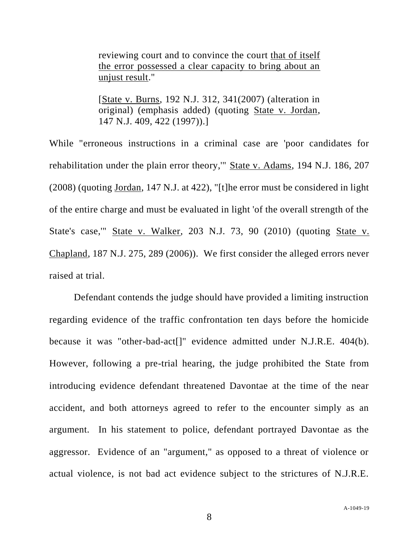reviewing court and to convince the court that of itself the error possessed a clear capacity to bring about an unjust result."

[State v. Burns, 192 N.J. 312, 341(2007) (alteration in original) (emphasis added) (quoting State v. Jordan, 147 N.J. 409, 422 (1997)).]

While "erroneous instructions in a criminal case are 'poor candidates for rehabilitation under the plain error theory,'" State v. Adams, 194 N.J. 186, 207 (2008) (quoting Jordan, 147 N.J. at 422), "[t]he error must be considered in light of the entire charge and must be evaluated in light 'of the overall strength of the State's case,'" State v. Walker, 203 N.J. 73, 90 (2010) (quoting State v. Chapland, 187 N.J. 275, 289 (2006)). We first consider the alleged errors never raised at trial.

Defendant contends the judge should have provided a limiting instruction regarding evidence of the traffic confrontation ten days before the homicide because it was "other-bad-act[]" evidence admitted under N.J.R.E. 404(b). However, following a pre-trial hearing, the judge prohibited the State from introducing evidence defendant threatened Davontae at the time of the near accident, and both attorneys agreed to refer to the encounter simply as an argument. In his statement to police, defendant portrayed Davontae as the aggressor. Evidence of an "argument," as opposed to a threat of violence or actual violence, is not bad act evidence subject to the strictures of N.J.R.E.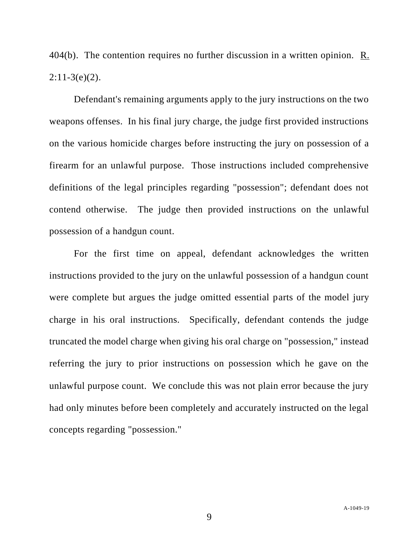404(b). The contention requires no further discussion in a written opinion. R.  $2:11-3(e)(2)$ .

Defendant's remaining arguments apply to the jury instructions on the two weapons offenses. In his final jury charge, the judge first provided instructions on the various homicide charges before instructing the jury on possession of a firearm for an unlawful purpose. Those instructions included comprehensive definitions of the legal principles regarding "possession"; defendant does not contend otherwise. The judge then provided instructions on the unlawful possession of a handgun count.

For the first time on appeal, defendant acknowledges the written instructions provided to the jury on the unlawful possession of a handgun count were complete but argues the judge omitted essential parts of the model jury charge in his oral instructions. Specifically, defendant contends the judge truncated the model charge when giving his oral charge on "possession," instead referring the jury to prior instructions on possession which he gave on the unlawful purpose count. We conclude this was not plain error because the jury had only minutes before been completely and accurately instructed on the legal concepts regarding "possession."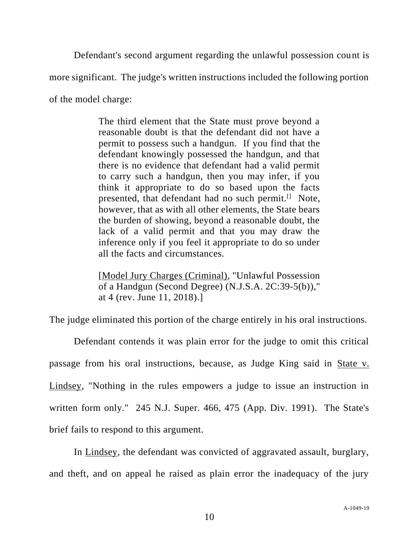Defendant's second argument regarding the unlawful possession count is more significant. The judge's written instructions included the following portion of the model charge:

> The third element that the State must prove beyond a reasonable doubt is that the defendant did not have a permit to possess such a handgun. If you find that the defendant knowingly possessed the handgun, and that there is no evidence that defendant had a valid permit to carry such a handgun, then you may infer, if you think it appropriate to do so based upon the facts presented, that defendant had no such permit.<sup> $\Box$ </sup> Note, however, that as with all other elements, the State bears the burden of showing, beyond a reasonable doubt, the lack of a valid permit and that you may draw the inference only if you feel it appropriate to do so under all the facts and circumstances.

> [Model Jury Charges (Criminal), "Unlawful Possession of a Handgun (Second Degree) (N.J.S.A. 2C:39-5(b))," at 4 (rev. June 11, 2018).]

The judge eliminated this portion of the charge entirely in his oral instructions.

Defendant contends it was plain error for the judge to omit this critical passage from his oral instructions, because, as Judge King said in State v. Lindsey, "Nothing in the rules empowers a judge to issue an instruction in written form only." 245 N.J. Super. 466, 475 (App. Div. 1991). The State's brief fails to respond to this argument.

In Lindsey, the defendant was convicted of aggravated assault, burglary, and theft, and on appeal he raised as plain error the inadequacy of the jury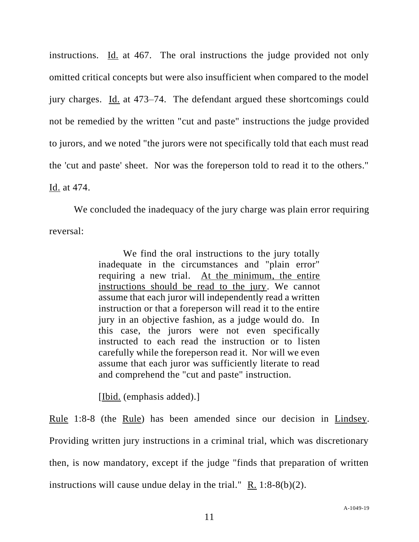instructions. Id. at 467. The oral instructions the judge provided not only omitted critical concepts but were also insufficient when compared to the model jury charges. Id. at 473–74. The defendant argued these shortcomings could not be remedied by the written "cut and paste" instructions the judge provided to jurors, and we noted "the jurors were not specifically told that each must read the 'cut and paste' sheet. Nor was the foreperson told to read it to the others." Id. at 474.

We concluded the inadequacy of the jury charge was plain error requiring reversal:

> We find the oral instructions to the jury totally inadequate in the circumstances and "plain error" requiring a new trial. At the minimum, the entire instructions should be read to the jury. We cannot assume that each juror will independently read a written instruction or that a foreperson will read it to the entire jury in an objective fashion, as a judge would do. In this case, the jurors were not even specifically instructed to each read the instruction or to listen carefully while the foreperson read it. Nor will we even assume that each juror was sufficiently literate to read and comprehend the "cut and paste" instruction.

[Ibid. (emphasis added).]

Rule 1:8-8 (the Rule) has been amended since our decision in Lindsey. Providing written jury instructions in a criminal trial, which was discretionary then, is now mandatory, except if the judge "finds that preparation of written instructions will cause undue delay in the trial."  $R_1$  1:8-8(b)(2).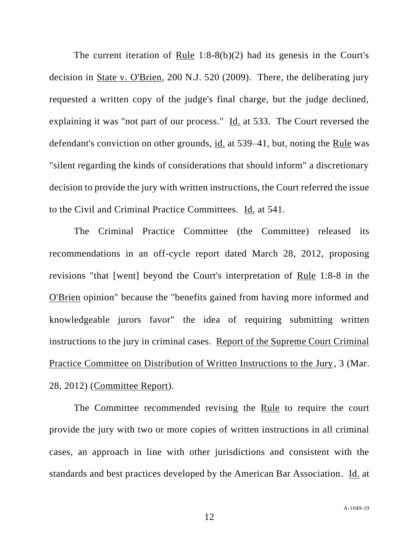The current iteration of Rule 1:8-8(b)(2) had its genesis in the Court's decision in State v. O'Brien, 200 N.J. 520 (2009). There, the deliberating jury requested a written copy of the judge's final charge, but the judge declined, explaining it was "not part of our process." Id. at 533. The Court reversed the defendant's conviction on other grounds, id. at 539–41, but, noting the Rule was "silent regarding the kinds of considerations that should inform" a discretionary decision to provide the jury with written instructions, the Court referred the issue to the Civil and Criminal Practice Committees. Id. at 541.

The Criminal Practice Committee (the Committee) released its recommendations in an off-cycle report dated March 28, 2012, proposing revisions "that [went] beyond the Court's interpretation of Rule 1:8-8 in the O'Brien opinion" because the "benefits gained from having more informed and knowledgeable jurors favor" the idea of requiring submitting written instructions to the jury in criminal cases. Report of the Supreme Court Criminal Practice Committee on Distribution of Written Instructions to the Jury, 3 (Mar. 28, 2012) (Committee Report).

The Committee recommended revising the Rule to require the court provide the jury with two or more copies of written instructions in all criminal cases, an approach in line with other jurisdictions and consistent with the standards and best practices developed by the American Bar Association. Id. at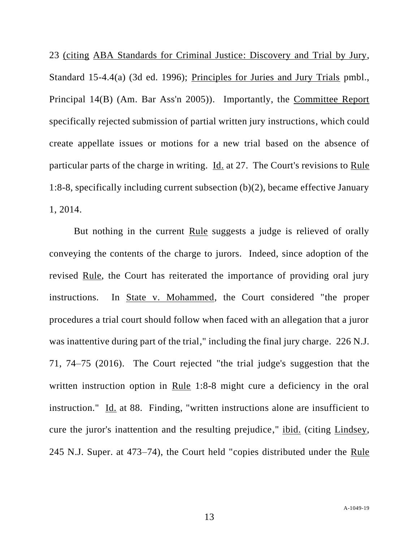23 (citing ABA Standards for Criminal Justice: Discovery and Trial by Jury, Standard 15-4.4(a) (3d ed. 1996); Principles for Juries and Jury Trials pmbl., Principal 14(B) (Am. Bar Ass'n 2005)). Importantly, the Committee Report specifically rejected submission of partial written jury instructions, which could create appellate issues or motions for a new trial based on the absence of particular parts of the charge in writing. Id. at 27. The Court's revisions to Rule 1:8-8, specifically including current subsection (b)(2), became effective January 1, 2014.

But nothing in the current Rule suggests a judge is relieved of orally conveying the contents of the charge to jurors. Indeed, since adoption of the revised Rule, the Court has reiterated the importance of providing oral jury instructions. In State v. Mohammed, the Court considered "the proper procedures a trial court should follow when faced with an allegation that a juror was inattentive during part of the trial," including the final jury charge. 226 N.J. 71, 74–75 (2016). The Court rejected "the trial judge's suggestion that the written instruction option in Rule 1:8-8 might cure a deficiency in the oral instruction." Id. at 88. Finding, "written instructions alone are insufficient to cure the juror's inattention and the resulting prejudice," ibid. (citing Lindsey, 245 N.J. Super. at 473–74), the Court held "copies distributed under the Rule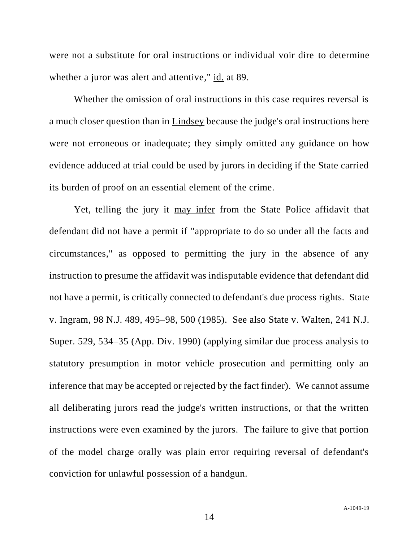were not a substitute for oral instructions or individual voir dire to determine whether a juror was alert and attentive," id. at 89.

Whether the omission of oral instructions in this case requires reversal is a much closer question than in Lindsey because the judge's oral instructions here were not erroneous or inadequate; they simply omitted any guidance on how evidence adduced at trial could be used by jurors in deciding if the State carried its burden of proof on an essential element of the crime.

Yet, telling the jury it may infer from the State Police affidavit that defendant did not have a permit if "appropriate to do so under all the facts and circumstances," as opposed to permitting the jury in the absence of any instruction to presume the affidavit was indisputable evidence that defendant did not have a permit, is critically connected to defendant's due process rights. State v. Ingram, 98 N.J. 489, 495–98, 500 (1985). See also State v. Walten, 241 N.J. Super. 529, 534–35 (App. Div. 1990) (applying similar due process analysis to statutory presumption in motor vehicle prosecution and permitting only an inference that may be accepted or rejected by the fact finder). We cannot assume all deliberating jurors read the judge's written instructions, or that the written instructions were even examined by the jurors. The failure to give that portion of the model charge orally was plain error requiring reversal of defendant's conviction for unlawful possession of a handgun.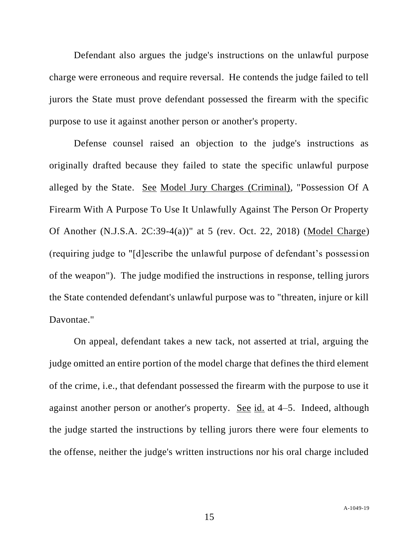Defendant also argues the judge's instructions on the unlawful purpose charge were erroneous and require reversal. He contends the judge failed to tell jurors the State must prove defendant possessed the firearm with the specific purpose to use it against another person or another's property.

Defense counsel raised an objection to the judge's instructions as originally drafted because they failed to state the specific unlawful purpose alleged by the State. See Model Jury Charges (Criminal), "Possession Of A Firearm With A Purpose To Use It Unlawfully Against The Person Or Property Of Another (N.J.S.A. 2C:39-4(a))" at 5 (rev. Oct. 22, 2018) (Model Charge) (requiring judge to "[d]escribe the unlawful purpose of defendant's possession of the weapon"). The judge modified the instructions in response, telling jurors the State contended defendant's unlawful purpose was to "threaten, injure or kill Davontae."

On appeal, defendant takes a new tack, not asserted at trial, arguing the judge omitted an entire portion of the model charge that defines the third element of the crime, i.e., that defendant possessed the firearm with the purpose to use it against another person or another's property. See id. at 4–5. Indeed, although the judge started the instructions by telling jurors there were four elements to the offense, neither the judge's written instructions nor his oral charge included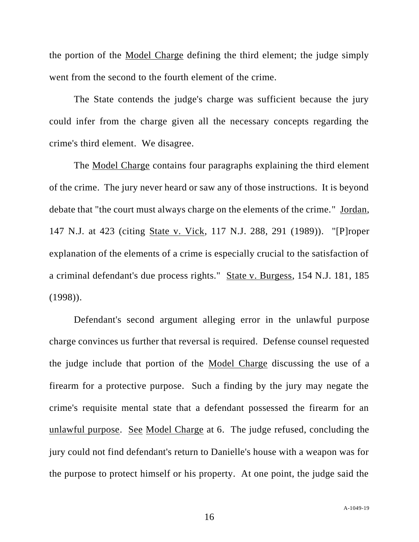the portion of the Model Charge defining the third element; the judge simply went from the second to the fourth element of the crime.

The State contends the judge's charge was sufficient because the jury could infer from the charge given all the necessary concepts regarding the crime's third element. We disagree.

The Model Charge contains four paragraphs explaining the third element of the crime. The jury never heard or saw any of those instructions. It is beyond debate that "the court must always charge on the elements of the crime." Jordan, 147 N.J. at 423 (citing State v. Vick, 117 N.J. 288, 291 (1989)). "[P]roper explanation of the elements of a crime is especially crucial to the satisfaction of a criminal defendant's due process rights." State v. Burgess, 154 N.J. 181, 185 (1998)).

Defendant's second argument alleging error in the unlawful purpose charge convinces us further that reversal is required. Defense counsel requested the judge include that portion of the Model Charge discussing the use of a firearm for a protective purpose. Such a finding by the jury may negate the crime's requisite mental state that a defendant possessed the firearm for an unlawful purpose. See Model Charge at 6. The judge refused, concluding the jury could not find defendant's return to Danielle's house with a weapon was for the purpose to protect himself or his property. At one point, the judge said the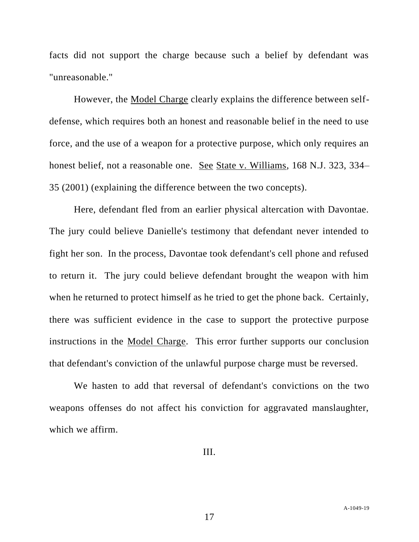facts did not support the charge because such a belief by defendant was "unreasonable."

However, the Model Charge clearly explains the difference between selfdefense, which requires both an honest and reasonable belief in the need to use force, and the use of a weapon for a protective purpose, which only requires an honest belief, not a reasonable one. See State v. Williams, 168 N.J. 323, 334– 35 (2001) (explaining the difference between the two concepts).

Here, defendant fled from an earlier physical altercation with Davontae. The jury could believe Danielle's testimony that defendant never intended to fight her son. In the process, Davontae took defendant's cell phone and refused to return it. The jury could believe defendant brought the weapon with him when he returned to protect himself as he tried to get the phone back. Certainly, there was sufficient evidence in the case to support the protective purpose instructions in the Model Charge. This error further supports our conclusion that defendant's conviction of the unlawful purpose charge must be reversed.

We hasten to add that reversal of defendant's convictions on the two weapons offenses do not affect his conviction for aggravated manslaughter, which we affirm.

III.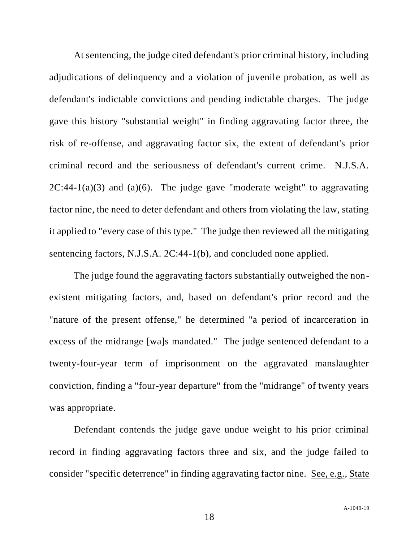At sentencing, the judge cited defendant's prior criminal history, including adjudications of delinquency and a violation of juvenile probation, as well as defendant's indictable convictions and pending indictable charges. The judge gave this history "substantial weight" in finding aggravating factor three, the risk of re-offense, and aggravating factor six, the extent of defendant's prior criminal record and the seriousness of defendant's current crime. N.J.S.A.  $2C:44-1(a)(3)$  and  $(a)(6)$ . The judge gave "moderate weight" to aggravating factor nine, the need to deter defendant and others from violating the law, stating it applied to "every case of this type." The judge then reviewed all the mitigating sentencing factors, N.J.S.A. 2C:44-1(b), and concluded none applied.

The judge found the aggravating factors substantially outweighed the nonexistent mitigating factors, and, based on defendant's prior record and the "nature of the present offense," he determined "a period of incarceration in excess of the midrange [wa]s mandated." The judge sentenced defendant to a twenty-four-year term of imprisonment on the aggravated manslaughter conviction, finding a "four-year departure" from the "midrange" of twenty years was appropriate.

Defendant contends the judge gave undue weight to his prior criminal record in finding aggravating factors three and six, and the judge failed to consider "specific deterrence" in finding aggravating factor nine. See, e.g., State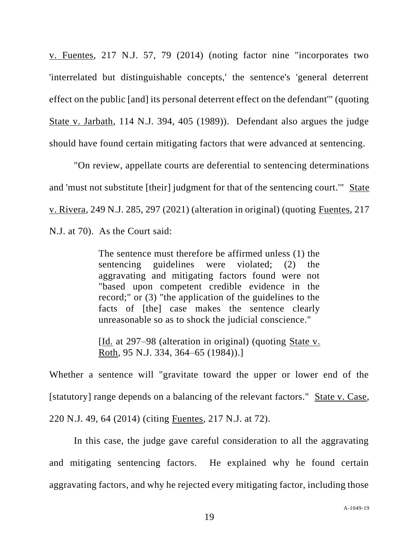v. Fuentes, 217 N.J. 57, 79 (2014) (noting factor nine "incorporates two 'interrelated but distinguishable concepts,' the sentence's 'general deterrent effect on the public [and] its personal deterrent effect on the defendant'" (quoting State v. Jarbath, 114 N.J. 394, 405 (1989)). Defendant also argues the judge should have found certain mitigating factors that were advanced at sentencing.

"On review, appellate courts are deferential to sentencing determinations and 'must not substitute [their] judgment for that of the sentencing court.'" State v. Rivera, 249 N.J. 285, 297 (2021) (alteration in original) (quoting Fuentes, 217 N.J. at 70). As the Court said:

> The sentence must therefore be affirmed unless (1) the sentencing guidelines were violated; (2) the aggravating and mitigating factors found were not "based upon competent credible evidence in the record;" or (3) "the application of the guidelines to the facts of [the] case makes the sentence clearly unreasonable so as to shock the judicial conscience."

> [Id. at 297–98 (alteration in original) (quoting State v. Roth, 95 N.J. 334, 364–65 (1984)).]

Whether a sentence will "gravitate toward the upper or lower end of the [statutory] range depends on a balancing of the relevant factors." State v. Case, 220 N.J. 49, 64 (2014) (citing Fuentes, 217 N.J. at 72).

In this case, the judge gave careful consideration to all the aggravating and mitigating sentencing factors. He explained why he found certain aggravating factors, and why he rejected every mitigating factor, including those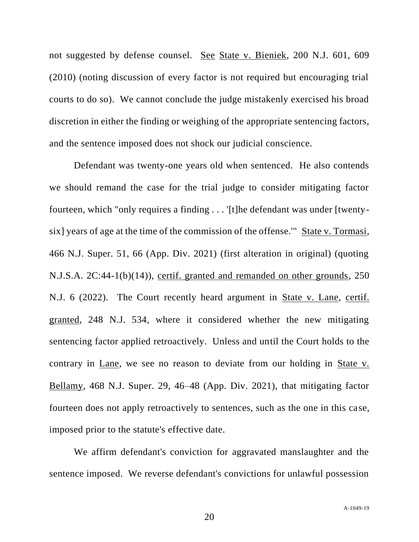not suggested by defense counsel. See State v. Bieniek, 200 N.J. 601, 609 (2010) (noting discussion of every factor is not required but encouraging trial courts to do so). We cannot conclude the judge mistakenly exercised his broad discretion in either the finding or weighing of the appropriate sentencing factors, and the sentence imposed does not shock our judicial conscience.

Defendant was twenty-one years old when sentenced. He also contends we should remand the case for the trial judge to consider mitigating factor fourteen, which "only requires a finding . . . '[t]he defendant was under [twentysix] years of age at the time of the commission of the offense.'" State v. Tormasi, 466 N.J. Super. 51, 66 (App. Div. 2021) (first alteration in original) (quoting N.J.S.A. 2C:44-1(b)(14)), certif. granted and remanded on other grounds, 250 N.J. 6 (2022). The Court recently heard argument in State v. Lane, certif. granted, 248 N.J. 534, where it considered whether the new mitigating sentencing factor applied retroactively. Unless and until the Court holds to the contrary in Lane, we see no reason to deviate from our holding in State v. Bellamy, 468 N.J. Super. 29, 46–48 (App. Div. 2021), that mitigating factor fourteen does not apply retroactively to sentences, such as the one in this case, imposed prior to the statute's effective date.

We affirm defendant's conviction for aggravated manslaughter and the sentence imposed. We reverse defendant's convictions for unlawful possession